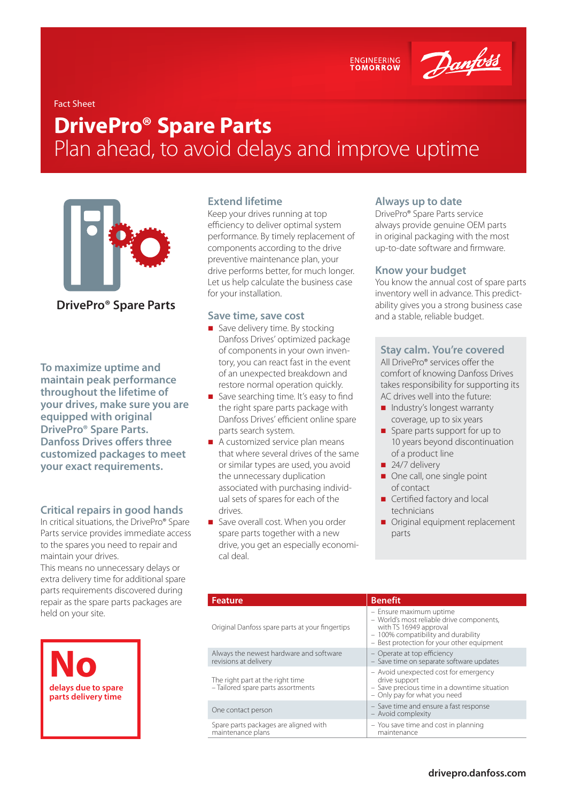ENGINEERING<br>TOMORROW



# Fact Sheet

# **DrivePro® Spare Parts**  Plan ahead, to avoid delays and improve uptime



# **DrivePro® Spare Parts**

**To maximize uptime and maintain peak performance throughout the lifetime of your drives, make sure you are equipped with original DrivePro® Spare Parts. Danfoss Drives offers three customized packages to meet your exact requirements.**

## **Critical repairs in good hands**

In critical situations, the DrivePro® Spare Parts service provides immediate access to the spares you need to repair and maintain your drives.

This means no unnecessary delays or extra delivery time for additional spare parts requirements discovered during repair as the spare parts packages are held on your site.



### **Extend lifetime**

Keep your drives running at top efficiency to deliver optimal system performance. By timely replacement of components according to the drive preventive maintenance plan, your drive performs better, for much longer. Let us help calculate the business case for your installation.

#### **Save time, save cost**

- Save delivery time. By stocking Danfoss Drives' optimized package of components in your own inventory, you can react fast in the event of an unexpected breakdown and restore normal operation quickly.
- Save searching time. It's easy to find the right spare parts package with Danfoss Drives' efficient online spare parts search system.
- A customized service plan means that where several drives of the same or similar types are used, you avoid the unnecessary duplication associated with purchasing individual sets of spares for each of the drives.
- Save overall cost. When you order spare parts together with a new drive, you get an especially economical deal.

#### **Always up to date**

DrivePro® Spare Parts service always provide genuine OEM parts in original packaging with the most up-to-date software and firmware.

## **Know your budget**

You know the annual cost of spare parts inventory well in advance. This predictability gives you a strong business case and a stable, reliable budget.

### **Stay calm. You're covered**

All DrivePro® services offer the comfort of knowing Danfoss Drives takes responsibility for supporting its AC drives well into the future:

- Industry's longest warranty coverage, up to six years
- Spare parts support for up to 10 years beyond discontinuation of a product line
- $24/7$  delivery
- One call, one single point of contact
- Certified factory and local technicians
- Original equipment replacement parts

| <b>Feature</b>                                                         | <b>Benefit</b>                                                                                                                                                                      |
|------------------------------------------------------------------------|-------------------------------------------------------------------------------------------------------------------------------------------------------------------------------------|
| Original Danfoss spare parts at your fingertips                        | - Ensure maximum uptime<br>- World's most reliable drive components,<br>with TS 16949 approval<br>- 100% compatibility and durability<br>- Best protection for your other equipment |
| Always the newest hardware and software<br>revisions at delivery       | - Operate at top efficiency<br>- Save time on separate software updates                                                                                                             |
| The right part at the right time<br>- Tailored spare parts assortments | - Avoid unexpected cost for emergency<br>drive support<br>- Save precious time in a downtime situation<br>- Only pay for what you need                                              |
| One contact person                                                     | - Save time and ensure a fast response<br>- Avoid complexity                                                                                                                        |
| Spare parts packages are aligned with<br>maintenance plans             | - You save time and cost in planning<br>maintenance                                                                                                                                 |
|                                                                        |                                                                                                                                                                                     |

#### **[drivepro.danfoss.com](http://drivepro.danfoss.com)**